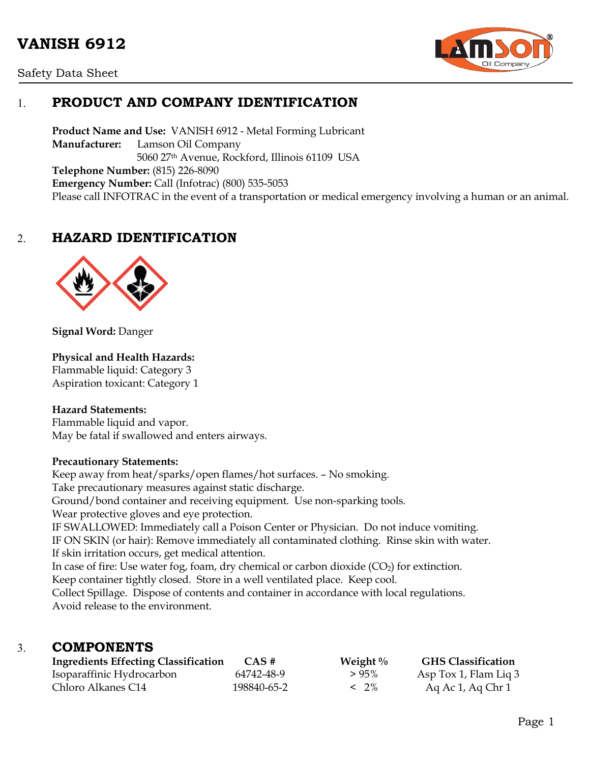# **VANISH 6912**





# 1. **PRODUCT AND COMPANY IDENTIFICATION**

**Product Name and Use:** VANISH 6912 - Metal Forming Lubricant **Manufacturer:** Lamson Oil Company 5060 27th Avenue, Rockford, Illinois 61109 USA **Telephone Number:** (815) 226-8090 **Emergency Number:** Call (Infotrac) (800) 535-5053 Please call INFOTRAC in the event of a transportation or medical emergency involving a human or an animal.

# 2. **HAZARD IDENTIFICATION**



**Signal Word:** Danger

### **Physical and Health Hazards:**

Flammable liquid: Category 3 Aspiration toxicant: Category 1

### **Hazard Statements:**

Flammable liquid and vapor. May be fatal if swallowed and enters airways.

#### **Precautionary Statements:**

Keep away from heat/sparks/open flames/hot surfaces. – No smoking. Take precautionary measures against static discharge. Ground/bond container and receiving equipment. Use non-sparking tools. Wear protective gloves and eye protection. IF SWALLOWED: Immediately call a Poison Center or Physician. Do not induce vomiting. IF ON SKIN (or hair): Remove immediately all contaminated clothing. Rinse skin with water. If skin irritation occurs, get medical attention. In case of fire: Use water fog, foam, dry chemical or carbon dioxide  $(CO<sub>2</sub>)$  for extinction. Keep container tightly closed. Store in a well ventilated place. Keep cool. Collect Spillage. Dispose of contents and container in accordance with local regulations. Avoid release to the environment.

### 3. **COMPONENTS**

| <b>Ingredients Effecting Classification</b> | $CAS \#$    | Weight $\%$ | <b>GHS Classification</b> |
|---------------------------------------------|-------------|-------------|---------------------------|
| Isoparaffinic Hydrocarbon                   | 64742-48-9  | $>95\%$     | Asp Tox 1, Flam Lig 3     |
| Chloro Alkanes C14                          | 198840-65-2 | $< 2\%$     | Aq Ac 1, Aq Chr 1         |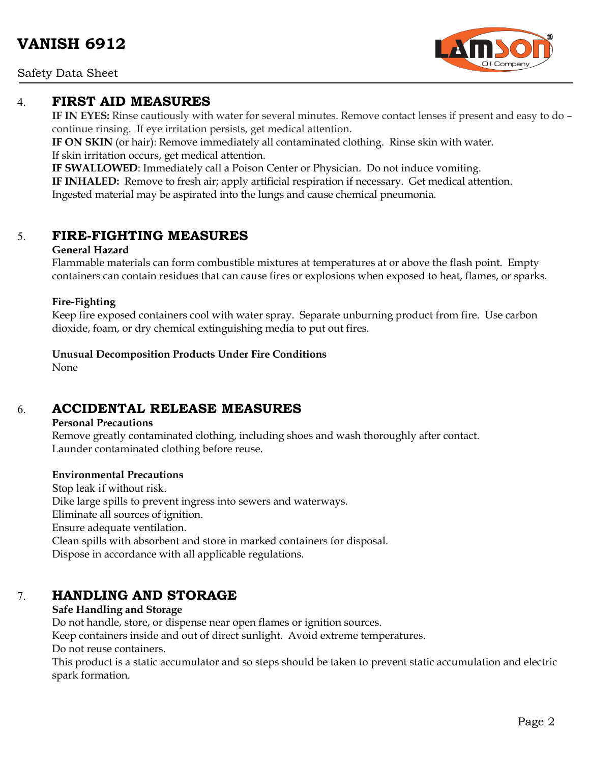Safety Data Sheet



**IF IN EYES:** Rinse cautiously with water for several minutes. Remove contact lenses if present and easy to do – continue rinsing. If eye irritation persists, get medical attention.

**IF ON SKIN** (or hair): Remove immediately all contaminated clothing. Rinse skin with water. If skin irritation occurs, get medical attention.

**IF SWALLOWED**: Immediately call a Poison Center or Physician. Do not induce vomiting.

**IF INHALED:** Remove to fresh air; apply artificial respiration if necessary. Get medical attention. Ingested material may be aspirated into the lungs and cause chemical pneumonia.

# 5. **FIRE-FIGHTING MEASURES**

### **General Hazard**

Flammable materials can form combustible mixtures at temperatures at or above the flash point. Empty containers can contain residues that can cause fires or explosions when exposed to heat, flames, or sparks.

### **Fire-Fighting**

Keep fire exposed containers cool with water spray. Separate unburning product from fire. Use carbon dioxide, foam, or dry chemical extinguishing media to put out fires.

**Unusual Decomposition Products Under Fire Conditions**

None

# 6. **ACCIDENTAL RELEASE MEASURES**

### **Personal Precautions**

Remove greatly contaminated clothing, including shoes and wash thoroughly after contact. Launder contaminated clothing before reuse.

### **Environmental Precautions**

Stop leak if without risk. Dike large spills to prevent ingress into sewers and waterways. Eliminate all sources of ignition. Ensure adequate ventilation. Clean spills with absorbent and store in marked containers for disposal. Dispose in accordance with all applicable regulations.

# 7. **HANDLING AND STORAGE**

### **Safe Handling and Storage**

Do not handle, store, or dispense near open flames or ignition sources.

Keep containers inside and out of direct sunlight. Avoid extreme temperatures.

Do not reuse containers.

This product is a static accumulator and so steps should be taken to prevent static accumulation and electric spark formation.

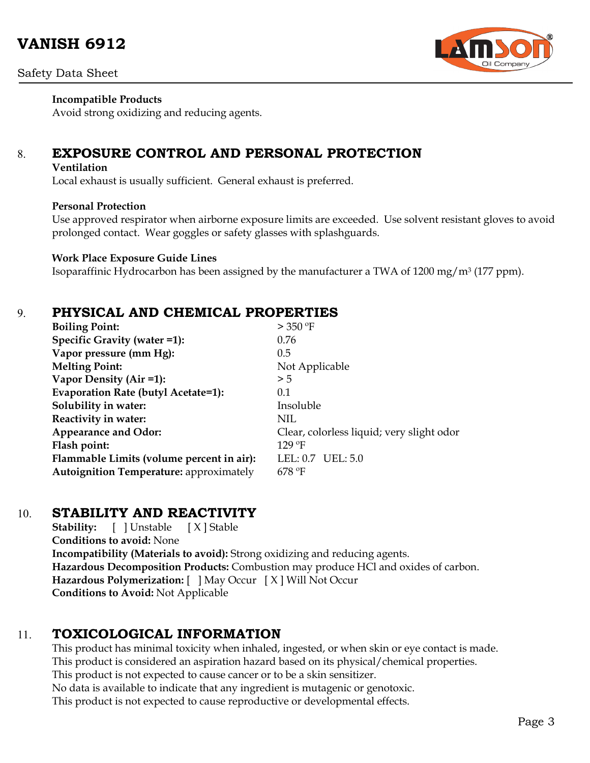

### **Incompatible Products**

Avoid strong oxidizing and reducing agents.

# 8. **EXPOSURE CONTROL AND PERSONAL PROTECTION**

#### **Ventilation**

Local exhaust is usually sufficient. General exhaust is preferred.

### **Personal Protection**

Use approved respirator when airborne exposure limits are exceeded. Use solvent resistant gloves to avoid prolonged contact. Wear goggles or safety glasses with splashguards.

#### **Work Place Exposure Guide Lines**

Isoparaffinic Hydrocarbon has been assigned by the manufacturer a TWA of 1200 mg/m3 (177 ppm).

### 9. **PHYSICAL AND CHEMICAL PROPERTIES**

| <b>Boiling Point:</b>                          | $>$ 350 °F                                |
|------------------------------------------------|-------------------------------------------|
| Specific Gravity (water =1):                   | 0.76                                      |
| Vapor pressure (mm Hg):                        | 0.5                                       |
| <b>Melting Point:</b>                          | Not Applicable                            |
| Vapor Density (Air =1):                        | > 5                                       |
| Evaporation Rate (butyl Acetate=1):            | 0.1                                       |
| Solubility in water:                           | Insoluble                                 |
| Reactivity in water:                           | NIL                                       |
| <b>Appearance and Odor:</b>                    | Clear, colorless liquid; very slight odor |
| Flash point:                                   | $129$ °F                                  |
| Flammable Limits (volume percent in air):      | LEL: 0.7 UEL: 5.0                         |
| <b>Autoignition Temperature: approximately</b> | $678$ °F                                  |

### 10. **STABILITY AND REACTIVITY**

**Stability:** [ ] Unstable [ X ] Stable **Conditions to avoid:** None **Incompatibility (Materials to avoid):** Strong oxidizing and reducing agents. **Hazardous Decomposition Products:** Combustion may produce HCl and oxides of carbon. **Hazardous Polymerization:** [ ] May Occur [ X ] Will Not Occur **Conditions to Avoid:** Not Applicable

### 11. **TOXICOLOGICAL INFORMATION**

This product has minimal toxicity when inhaled, ingested, or when skin or eye contact is made. This product is considered an aspiration hazard based on its physical/chemical properties. This product is not expected to cause cancer or to be a skin sensitizer. No data is available to indicate that any ingredient is mutagenic or genotoxic. This product is not expected to cause reproductive or developmental effects.